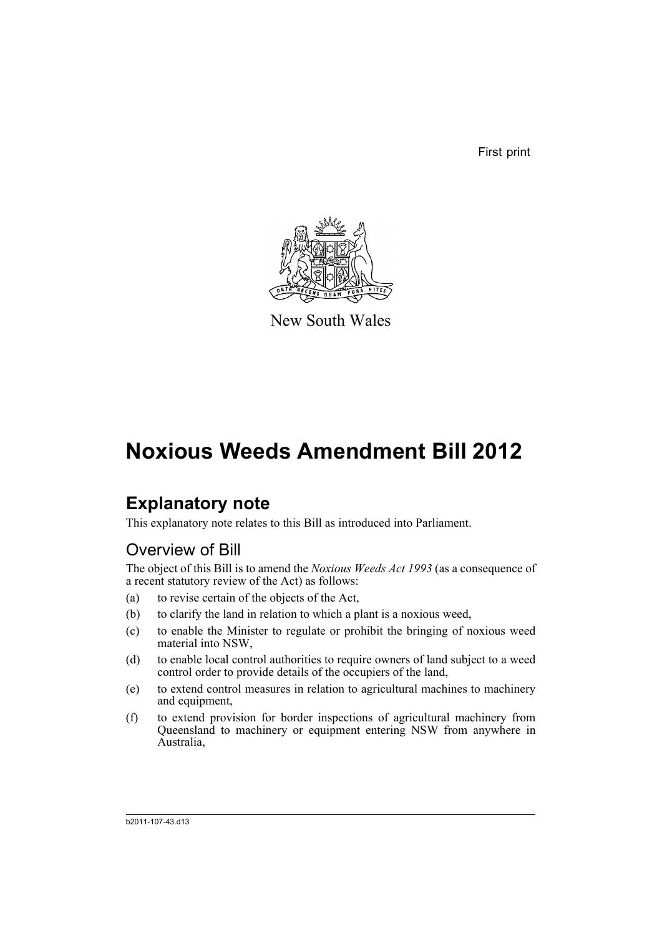First print



New South Wales

# **Noxious Weeds Amendment Bill 2012**

# **Explanatory note**

This explanatory note relates to this Bill as introduced into Parliament.

## Overview of Bill

The object of this Bill is to amend the *Noxious Weeds Act 1993* (as a consequence of a recent statutory review of the Act) as follows:

- (a) to revise certain of the objects of the Act,
- (b) to clarify the land in relation to which a plant is a noxious weed,
- (c) to enable the Minister to regulate or prohibit the bringing of noxious weed material into NSW,
- (d) to enable local control authorities to require owners of land subject to a weed control order to provide details of the occupiers of the land,
- (e) to extend control measures in relation to agricultural machines to machinery and equipment,
- (f) to extend provision for border inspections of agricultural machinery from Queensland to machinery or equipment entering NSW from anywhere in Australia,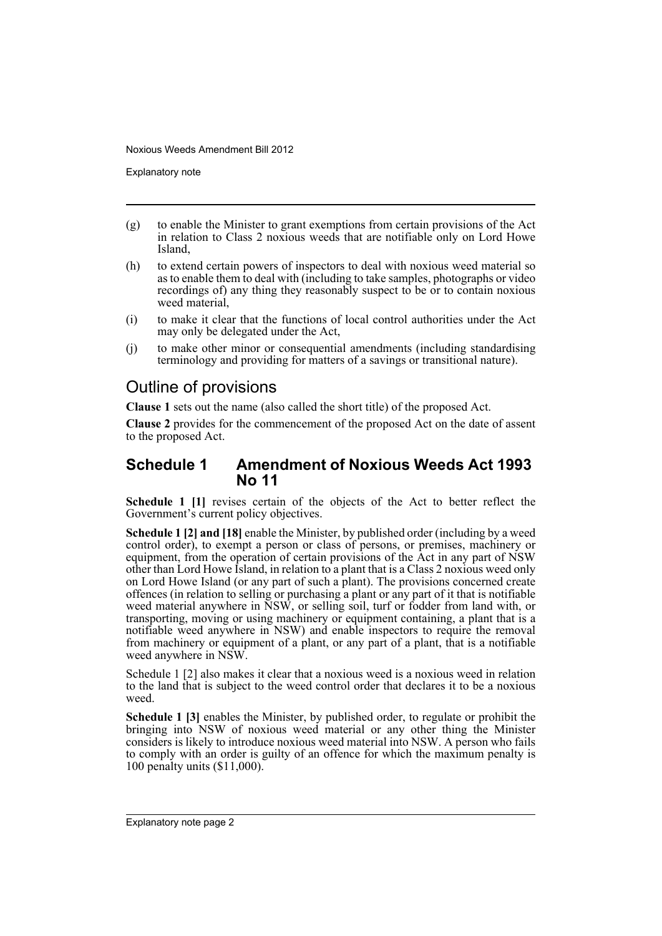Explanatory note

- (g) to enable the Minister to grant exemptions from certain provisions of the Act in relation to Class 2 noxious weeds that are notifiable only on Lord Howe Island,
- (h) to extend certain powers of inspectors to deal with noxious weed material so as to enable them to deal with (including to take samples, photographs or video recordings of) any thing they reasonably suspect to be or to contain noxious weed material,
- (i) to make it clear that the functions of local control authorities under the Act may only be delegated under the Act,
- (j) to make other minor or consequential amendments (including standardising terminology and providing for matters of a savings or transitional nature).

### Outline of provisions

**Clause 1** sets out the name (also called the short title) of the proposed Act.

**Clause 2** provides for the commencement of the proposed Act on the date of assent to the proposed Act.

### **Schedule 1 Amendment of Noxious Weeds Act 1993 No 11**

**Schedule 1 [1]** revises certain of the objects of the Act to better reflect the Government's current policy objectives.

**Schedule 1 [2] and [18]** enable the Minister, by published order (including by a weed control order), to exempt a person or class of persons, or premises, machinery or equipment, from the operation of certain provisions of the Act in any part of NSW other than Lord Howe Island, in relation to a plant that is a Class 2 noxious weed only on Lord Howe Island (or any part of such a plant). The provisions concerned create offences (in relation to selling or purchasing a plant or any part of it that is notifiable weed material anywhere in NSW, or selling soil, turf or fodder from land with, or transporting, moving or using machinery or equipment containing, a plant that is a notifiable weed anywhere in NSW) and enable inspectors to require the removal from machinery or equipment of a plant, or any part of a plant, that is a notifiable weed anywhere in NSW.

Schedule 1 [2] also makes it clear that a noxious weed is a noxious weed in relation to the land that is subject to the weed control order that declares it to be a noxious weed.

**Schedule 1 [3]** enables the Minister, by published order, to regulate or prohibit the bringing into NSW of noxious weed material or any other thing the Minister considers is likely to introduce noxious weed material into NSW. A person who fails to comply with an order is guilty of an offence for which the maximum penalty is 100 penalty units (\$11,000).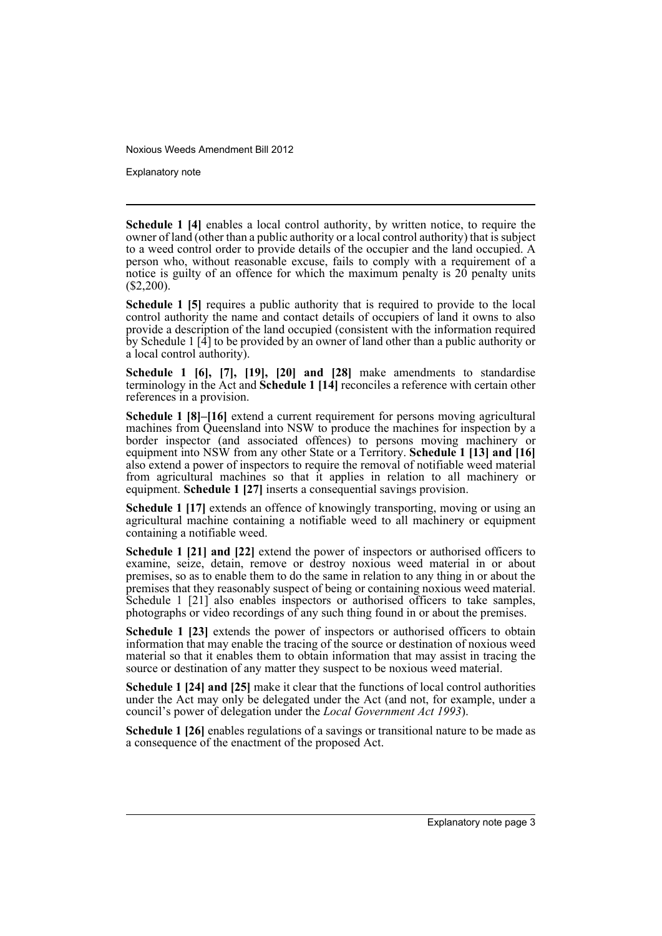Explanatory note

**Schedule 1 [4]** enables a local control authority, by written notice, to require the owner of land (other than a public authority or a local control authority) that is subject to a weed control order to provide details of the occupier and the land occupied. A person who, without reasonable excuse, fails to comply with a requirement of a notice is guilty of an offence for which the maximum penalty is 20 penalty units  $($2,200).$ 

**Schedule 1 [5]** requires a public authority that is required to provide to the local control authority the name and contact details of occupiers of land it owns to also provide a description of the land occupied (consistent with the information required by Schedule 1 [4] to be provided by an owner of land other than a public authority or a local control authority).

**Schedule 1 [6], [7], [19], [20] and [28]** make amendments to standardise terminology in the Act and **Schedule 1 [14]** reconciles a reference with certain other references in a provision.

**Schedule 1 [8]–[16]** extend a current requirement for persons moving agricultural machines from Queensland into NSW to produce the machines for inspection by a border inspector (and associated offences) to persons moving machinery or equipment into NSW from any other State or a Territory. **Schedule 1 [13] and [16]** also extend a power of inspectors to require the removal of notifiable weed material from agricultural machines so that it applies in relation to all machinery or equipment. **Schedule 1 [27]** inserts a consequential savings provision.

**Schedule 1 [17]** extends an offence of knowingly transporting, moving or using an agricultural machine containing a notifiable weed to all machinery or equipment containing a notifiable weed.

**Schedule 1 [21] and [22]** extend the power of inspectors or authorised officers to examine, seize, detain, remove or destroy noxious weed material in or about premises, so as to enable them to do the same in relation to any thing in or about the premises that they reasonably suspect of being or containing noxious weed material. Schedule 1 [21] also enables inspectors or authorised officers to take samples, photographs or video recordings of any such thing found in or about the premises.

**Schedule 1 [23]** extends the power of inspectors or authorised officers to obtain information that may enable the tracing of the source or destination of noxious weed material so that it enables them to obtain information that may assist in tracing the source or destination of any matter they suspect to be noxious weed material.

**Schedule 1 [24] and [25]** make it clear that the functions of local control authorities under the Act may only be delegated under the Act (and not, for example, under a council's power of delegation under the *Local Government Act 1993*).

**Schedule 1 [26]** enables regulations of a savings or transitional nature to be made as a consequence of the enactment of the proposed Act.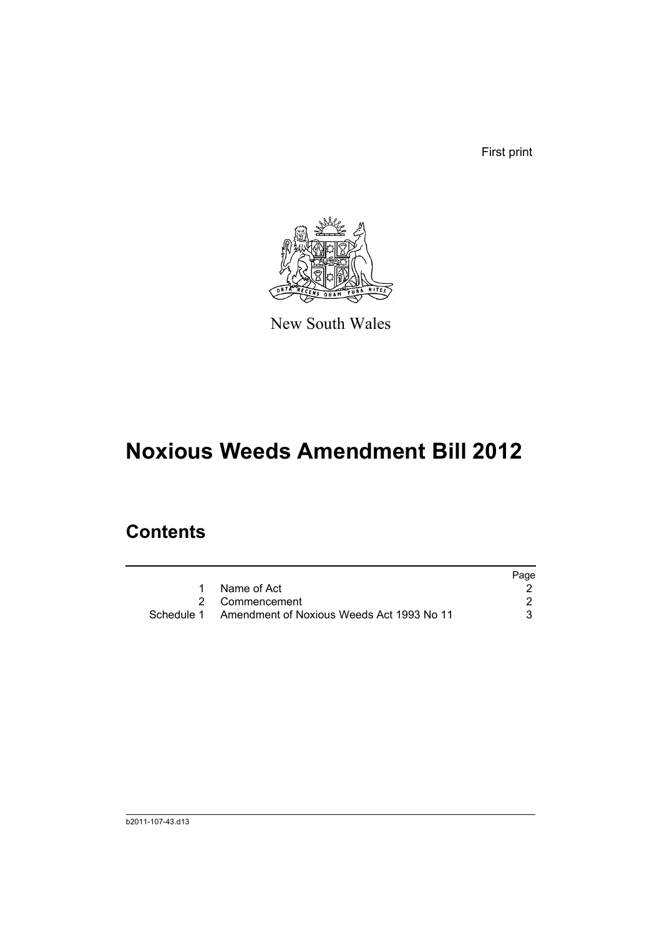First print



New South Wales

# **Noxious Weeds Amendment Bill 2012**

## **Contents**

|                                                      | Page |
|------------------------------------------------------|------|
| Name of Act                                          |      |
| 2 Commencement                                       |      |
| Schedule 1 Amendment of Noxious Weeds Act 1993 No 11 |      |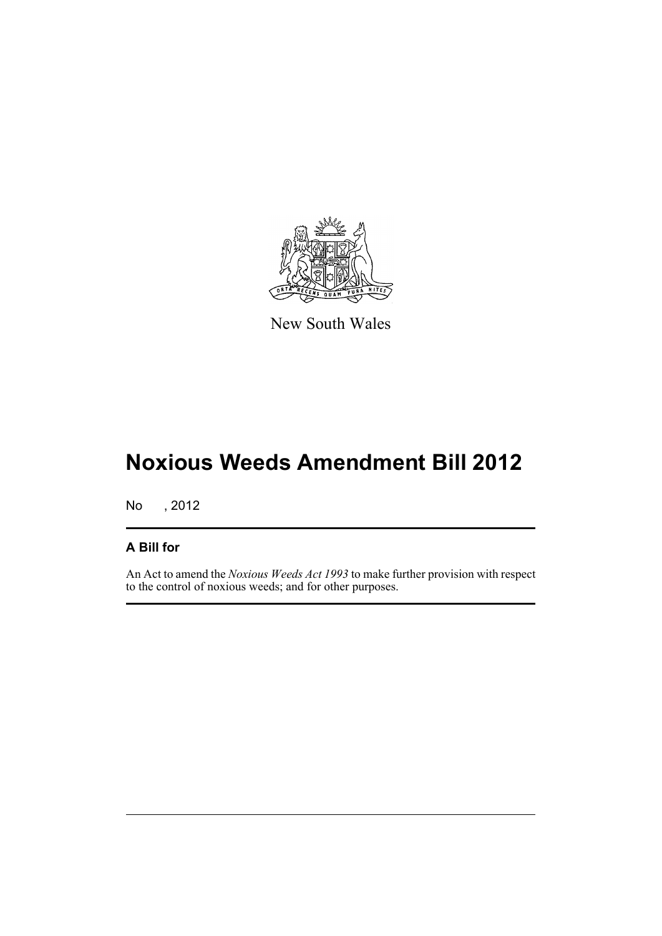

New South Wales

# **Noxious Weeds Amendment Bill 2012**

No , 2012

### **A Bill for**

An Act to amend the *Noxious Weeds Act 1993* to make further provision with respect to the control of noxious weeds; and for other purposes.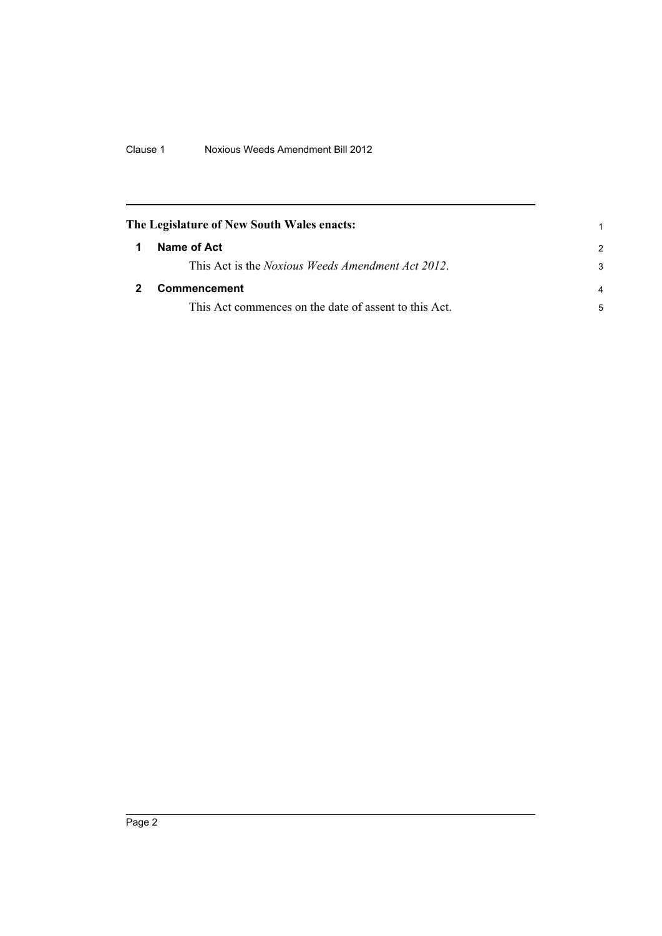<span id="page-7-1"></span><span id="page-7-0"></span>

| The Legislature of New South Wales enacts: |                                                           |                |
|--------------------------------------------|-----------------------------------------------------------|----------------|
|                                            | Name of Act                                               | $\mathcal{P}$  |
|                                            | This Act is the <i>Noxious Weeds Amendment Act 2012</i> . | 3              |
|                                            | <b>Commencement</b>                                       | $\overline{a}$ |
|                                            | This Act commences on the date of assent to this Act.     | 5              |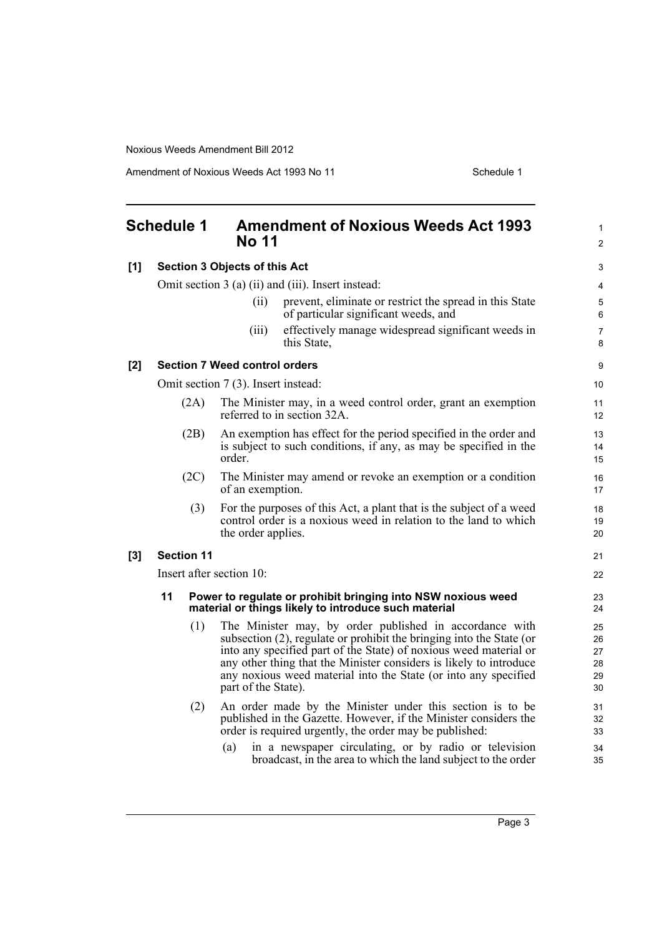Amendment of Noxious Weeds Act 1993 No 11 Schedule 1

<span id="page-8-0"></span>

|     | <b>Schedule 1</b> |                   | <b>Amendment of Noxious Weeds Act 1993</b><br><b>No 11</b>                                                                                                                                                                                                                                                                                                           | $\mathbf{1}$<br>$\overline{2}$   |
|-----|-------------------|-------------------|----------------------------------------------------------------------------------------------------------------------------------------------------------------------------------------------------------------------------------------------------------------------------------------------------------------------------------------------------------------------|----------------------------------|
| [1] |                   |                   | <b>Section 3 Objects of this Act</b>                                                                                                                                                                                                                                                                                                                                 | 3                                |
|     |                   |                   | Omit section 3 (a) (ii) and (iii). Insert instead:                                                                                                                                                                                                                                                                                                                   | 4                                |
|     |                   |                   | prevent, eliminate or restrict the spread in this State<br>(ii)<br>of particular significant weeds, and                                                                                                                                                                                                                                                              | 5<br>6                           |
|     |                   |                   | effectively manage widespread significant weeds in<br>(iii)<br>this State,                                                                                                                                                                                                                                                                                           | $\overline{7}$<br>8              |
| [2] |                   |                   | <b>Section 7 Weed control orders</b>                                                                                                                                                                                                                                                                                                                                 | 9                                |
|     |                   |                   | Omit section 7 (3). Insert instead:                                                                                                                                                                                                                                                                                                                                  | 10                               |
|     |                   | (2A)              | The Minister may, in a weed control order, grant an exemption<br>referred to in section 32A.                                                                                                                                                                                                                                                                         | 11<br>12                         |
|     |                   | (2B)              | An exemption has effect for the period specified in the order and<br>is subject to such conditions, if any, as may be specified in the<br>order.                                                                                                                                                                                                                     | 13<br>14<br>15                   |
|     |                   | (2C)              | The Minister may amend or revoke an exemption or a condition<br>of an exemption.                                                                                                                                                                                                                                                                                     | 16<br>17                         |
|     |                   | (3)               | For the purposes of this Act, a plant that is the subject of a weed<br>control order is a noxious weed in relation to the land to which<br>the order applies.                                                                                                                                                                                                        | 18<br>19<br>20                   |
| [3] |                   | <b>Section 11</b> |                                                                                                                                                                                                                                                                                                                                                                      | 21                               |
|     |                   |                   | Insert after section 10:                                                                                                                                                                                                                                                                                                                                             | 22                               |
|     | 11                |                   | Power to regulate or prohibit bringing into NSW noxious weed<br>material or things likely to introduce such material                                                                                                                                                                                                                                                 | 23<br>24                         |
|     |                   | (1)               | The Minister may, by order published in accordance with<br>subsection (2), regulate or prohibit the bringing into the State (or<br>into any specified part of the State) of noxious weed material or<br>any other thing that the Minister considers is likely to introduce<br>any noxious weed material into the State (or into any specified<br>part of the State). | 25<br>26<br>27<br>28<br>29<br>30 |
|     |                   | (2)               | An order made by the Minister under this section is to be<br>published in the Gazette. However, if the Minister considers the<br>order is required urgently, the order may be published:                                                                                                                                                                             | 31<br>32<br>33                   |
|     |                   |                   | in a newspaper circulating, or by radio or television<br>(a)<br>broadcast, in the area to which the land subject to the order                                                                                                                                                                                                                                        | 34<br>35                         |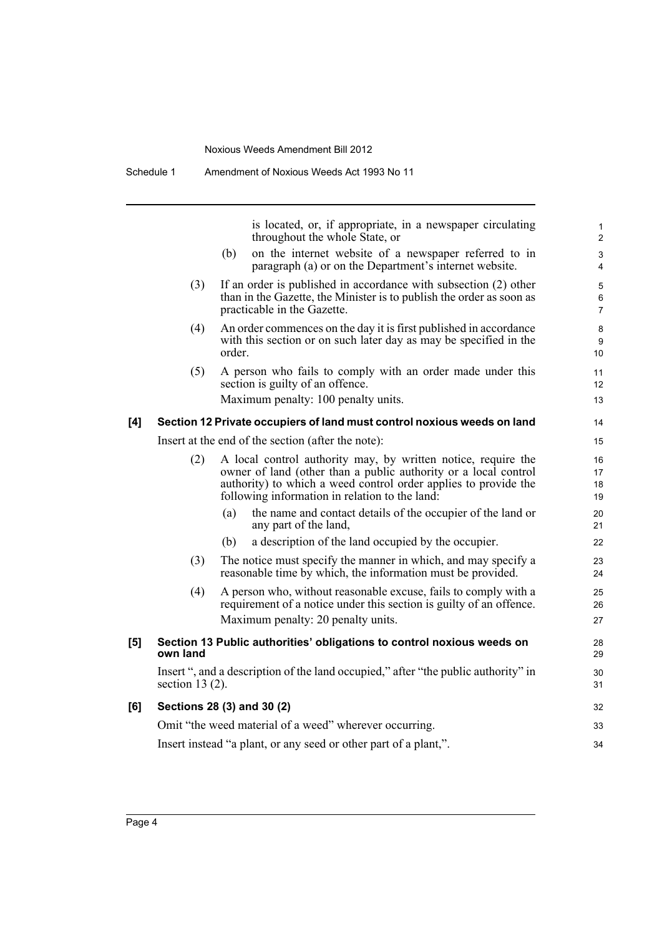is located, or, if appropriate, in a newspaper circulating throughout the whole State, or

14  $15$ 

- (b) on the internet website of a newspaper referred to in paragraph (a) or on the Department's internet website.
- (3) If an order is published in accordance with subsection (2) other than in the Gazette, the Minister is to publish the order as soon as practicable in the Gazette.
- (4) An order commences on the day it is first published in accordance with this section or on such later day as may be specified in the order.
- (5) A person who fails to comply with an order made under this section is guilty of an offence.

Maximum penalty: 100 penalty units.

#### **[4] Section 12 Private occupiers of land must control noxious weeds on land**

Insert at the end of the section (after the note):

|     |                    | msell at the end of the section (after the note).                                                                                                                                                                                                     | ျ၁                   |
|-----|--------------------|-------------------------------------------------------------------------------------------------------------------------------------------------------------------------------------------------------------------------------------------------------|----------------------|
|     | (2)                | A local control authority may, by written notice, require the<br>owner of land (other than a public authority or a local control<br>authority) to which a weed control order applies to provide the<br>following information in relation to the land: | 16<br>17<br>18<br>19 |
|     |                    | the name and contact details of the occupier of the land or<br>(a)<br>any part of the land,                                                                                                                                                           | 20<br>21             |
|     |                    | a description of the land occupied by the occupier.<br>(b)                                                                                                                                                                                            | 22                   |
|     | (3)                | The notice must specify the manner in which, and may specify a<br>reasonable time by which, the information must be provided.                                                                                                                         | 23<br>24             |
|     | (4)                | A person who, without reasonable excuse, fails to comply with a<br>requirement of a notice under this section is guilty of an offence.<br>Maximum penalty: 20 penalty units.                                                                          | 25<br>26<br>27       |
| [5] | own land           | Section 13 Public authorities' obligations to control noxious weeds on                                                                                                                                                                                | 28<br>29             |
|     | section 13 $(2)$ . | Insert ", and a description of the land occupied," after "the public authority" in                                                                                                                                                                    | 30<br>31             |
| [6] |                    | Sections 28 (3) and 30 (2)                                                                                                                                                                                                                            | 32                   |
|     |                    | Omit "the weed material of a weed" wherever occurring.                                                                                                                                                                                                | 33                   |
|     |                    | Insert instead "a plant, or any seed or other part of a plant,".                                                                                                                                                                                      | 34                   |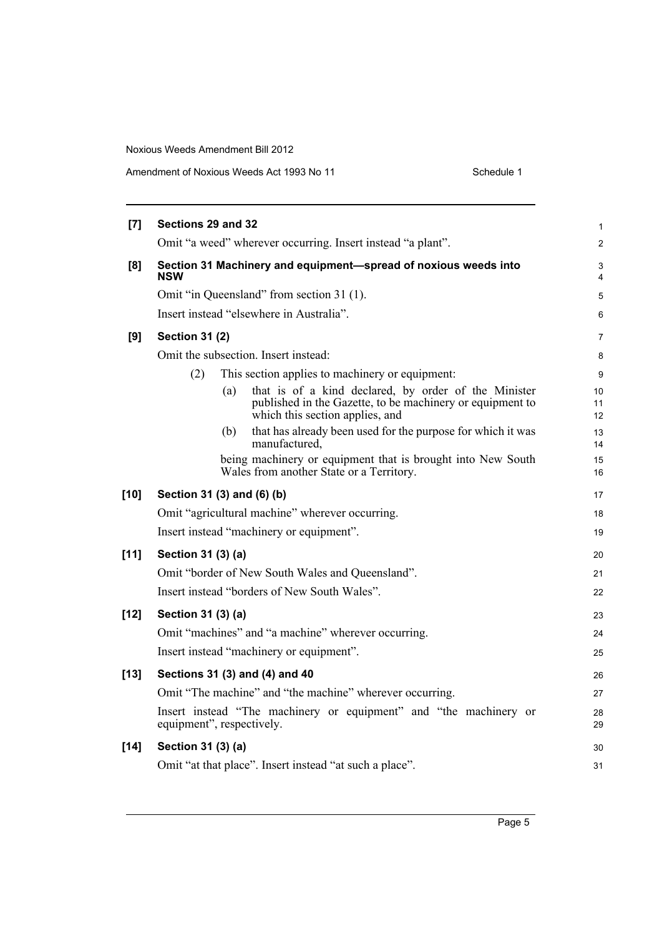Amendment of Noxious Weeds Act 1993 No 11 Schedule 1

| [7]    | Sections 29 and 32                                                                                                                                          | 1              |
|--------|-------------------------------------------------------------------------------------------------------------------------------------------------------------|----------------|
|        | Omit "a weed" wherever occurring. Insert instead "a plant".                                                                                                 | $\overline{c}$ |
| [8]    | Section 31 Machinery and equipment-spread of noxious weeds into<br><b>NSW</b>                                                                               | 3<br>4         |
|        | Omit "in Queensland" from section 31 (1).                                                                                                                   | 5              |
|        | Insert instead "elsewhere in Australia".                                                                                                                    | 6              |
| [9]    | <b>Section 31 (2)</b>                                                                                                                                       | 7              |
|        | Omit the subsection. Insert instead:                                                                                                                        | 8              |
|        | This section applies to machinery or equipment:<br>(2)                                                                                                      | 9              |
|        | that is of a kind declared, by order of the Minister<br>(a)<br>published in the Gazette, to be machinery or equipment to<br>which this section applies, and | 10<br>11<br>12 |
|        | that has already been used for the purpose for which it was<br>(b)<br>manufactured,                                                                         | 13<br>14       |
|        | being machinery or equipment that is brought into New South<br>Wales from another State or a Territory.                                                     | 15<br>16       |
| $[10]$ | Section 31 (3) and (6) (b)                                                                                                                                  | 17             |
|        | Omit "agricultural machine" wherever occurring.                                                                                                             | 18             |
|        | Insert instead "machinery or equipment".                                                                                                                    | 19             |
| [11]   | Section 31 (3) (a)                                                                                                                                          | 20             |
|        | Omit "border of New South Wales and Queensland".                                                                                                            | 21             |
|        | Insert instead "borders of New South Wales".                                                                                                                | 22             |
| $[12]$ | Section 31 (3) (a)                                                                                                                                          | 23             |
|        | Omit "machines" and "a machine" wherever occurring.                                                                                                         | 24             |
|        | Insert instead "machinery or equipment".                                                                                                                    | 25             |
| $[13]$ | Sections 31 (3) and (4) and 40                                                                                                                              | 26             |
|        | Omit "The machine" and "the machine" wherever occurring.                                                                                                    | 27             |
|        | Insert instead "The machinery or equipment" and "the machinery or<br>equipment", respectively.                                                              | 28<br>29       |
| $[14]$ | Section 31 (3) (a)                                                                                                                                          | 30             |
|        | Omit "at that place". Insert instead "at such a place".                                                                                                     | 31             |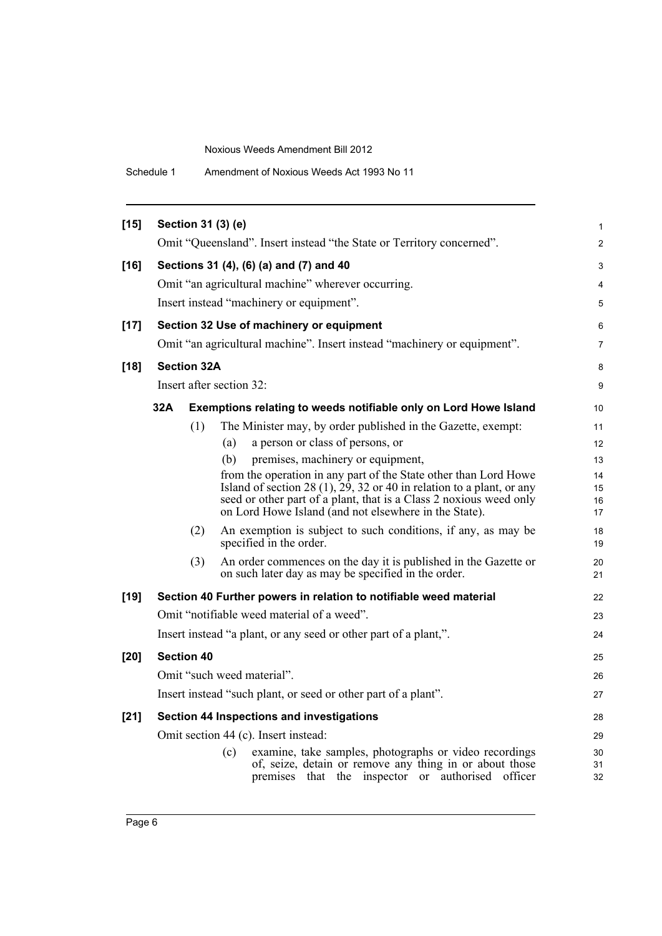| $[15]$ |                                                                  | Section 31 (3) (e)       | Omit "Queensland". Insert instead "the State or Territory concerned".                                                                                                  |
|--------|------------------------------------------------------------------|--------------------------|------------------------------------------------------------------------------------------------------------------------------------------------------------------------|
| $[16]$ |                                                                  |                          | Sections 31 (4), (6) (a) and (7) and 40                                                                                                                                |
|        |                                                                  |                          | Omit "an agricultural machine" wherever occurring.                                                                                                                     |
|        |                                                                  |                          | Insert instead "machinery or equipment".                                                                                                                               |
| $[17]$ |                                                                  |                          | Section 32 Use of machinery or equipment                                                                                                                               |
|        |                                                                  |                          | Omit "an agricultural machine". Insert instead "machinery or equipment".                                                                                               |
| $[18]$ |                                                                  | <b>Section 32A</b>       |                                                                                                                                                                        |
|        |                                                                  | Insert after section 32: |                                                                                                                                                                        |
|        | 32A                                                              |                          | Exemptions relating to weeds notifiable only on Lord Howe Island                                                                                                       |
|        |                                                                  | (1)                      | The Minister may, by order published in the Gazette, exempt:                                                                                                           |
|        |                                                                  | (a)                      | a person or class of persons, or                                                                                                                                       |
|        |                                                                  | (b)                      | premises, machinery or equipment,                                                                                                                                      |
|        |                                                                  |                          | from the operation in any part of the State other than Lord Howe                                                                                                       |
|        |                                                                  |                          | Island of section 28 (1), $\overline{29}$ , 32 or 40 in relation to a plant, or any<br>seed or other part of a plant, that is a Class 2 noxious weed only              |
|        |                                                                  |                          | on Lord Howe Island (and not elsewhere in the State).                                                                                                                  |
|        |                                                                  | (2)                      | An exemption is subject to such conditions, if any, as may be<br>specified in the order.                                                                               |
|        |                                                                  | (3)                      | An order commences on the day it is published in the Gazette or<br>on such later day as may be specified in the order.                                                 |
| $[19]$ |                                                                  |                          | Section 40 Further powers in relation to notifiable weed material                                                                                                      |
|        |                                                                  |                          | Omit "notifiable weed material of a weed".                                                                                                                             |
|        | Insert instead "a plant, or any seed or other part of a plant,". |                          |                                                                                                                                                                        |
| [20]   | <b>Section 40</b>                                                |                          |                                                                                                                                                                        |
|        |                                                                  |                          | Omit "such weed material".                                                                                                                                             |
|        |                                                                  |                          | Insert instead "such plant, or seed or other part of a plant".                                                                                                         |
| $[21]$ |                                                                  |                          | Section 44 Inspections and investigations                                                                                                                              |
|        |                                                                  |                          | Omit section 44 (c). Insert instead:                                                                                                                                   |
|        |                                                                  | (c)                      | examine, take samples, photographs or video recordings<br>of, seize, detain or remove any thing in or about those<br>premises that the inspector or authorised officer |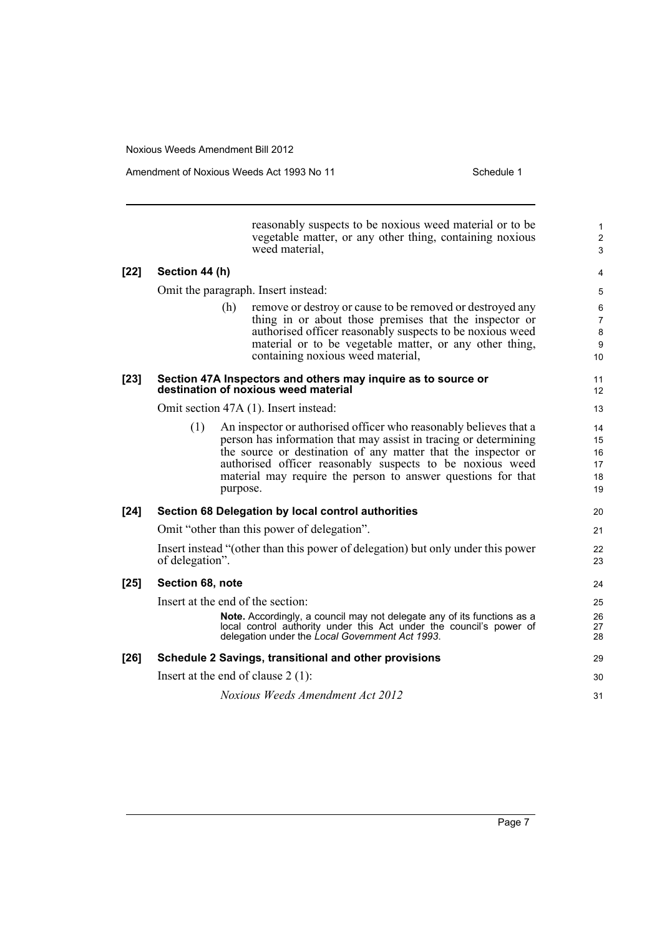Amendment of Noxious Weeds Act 1993 No 11 Schedule 1

|        |                  | reasonably suspects to be noxious weed material or to be<br>vegetable matter, or any other thing, containing noxious<br>weed material,                                                                                                                                                                                                          | $\mathbf{1}$<br>$\overline{c}$<br>3 |
|--------|------------------|-------------------------------------------------------------------------------------------------------------------------------------------------------------------------------------------------------------------------------------------------------------------------------------------------------------------------------------------------|-------------------------------------|
| $[22]$ | Section 44 (h)   |                                                                                                                                                                                                                                                                                                                                                 | 4                                   |
|        |                  | Omit the paragraph. Insert instead:                                                                                                                                                                                                                                                                                                             | 5                                   |
|        |                  | (h)<br>remove or destroy or cause to be removed or destroyed any<br>thing in or about those premises that the inspector or<br>authorised officer reasonably suspects to be noxious weed<br>material or to be vegetable matter, or any other thing,<br>containing noxious weed material,                                                         | 6<br>$\overline{7}$<br>8<br>9<br>10 |
| $[23]$ |                  | Section 47A Inspectors and others may inquire as to source or<br>destination of noxious weed material                                                                                                                                                                                                                                           | 11<br>12                            |
|        |                  | Omit section 47A (1). Insert instead:                                                                                                                                                                                                                                                                                                           | 13                                  |
|        | (1)              | An inspector or authorised officer who reasonably believes that a<br>person has information that may assist in tracing or determining<br>the source or destination of any matter that the inspector or<br>authorised officer reasonably suspects to be noxious weed<br>material may require the person to answer questions for that<br>purpose. | 14<br>15<br>16<br>17<br>18<br>19    |
| $[24]$ |                  | Section 68 Delegation by local control authorities                                                                                                                                                                                                                                                                                              | 20                                  |
|        |                  | Omit "other than this power of delegation".                                                                                                                                                                                                                                                                                                     | 21                                  |
|        | of delegation".  | Insert instead "(other than this power of delegation) but only under this power                                                                                                                                                                                                                                                                 | 22<br>23                            |
| $[25]$ | Section 68, note |                                                                                                                                                                                                                                                                                                                                                 | 24                                  |
|        |                  | Insert at the end of the section:<br><b>Note.</b> Accordingly, a council may not delegate any of its functions as a<br>local control authority under this Act under the council's power of<br>delegation under the Local Government Act 1993.                                                                                                   | 25<br>26<br>27<br>28                |
| $[26]$ |                  | Schedule 2 Savings, transitional and other provisions                                                                                                                                                                                                                                                                                           | 29                                  |
|        |                  | Insert at the end of clause $2(1)$ :                                                                                                                                                                                                                                                                                                            | 30                                  |
|        |                  | <b>Noxious Weeds Amendment Act 2012</b>                                                                                                                                                                                                                                                                                                         | 31                                  |